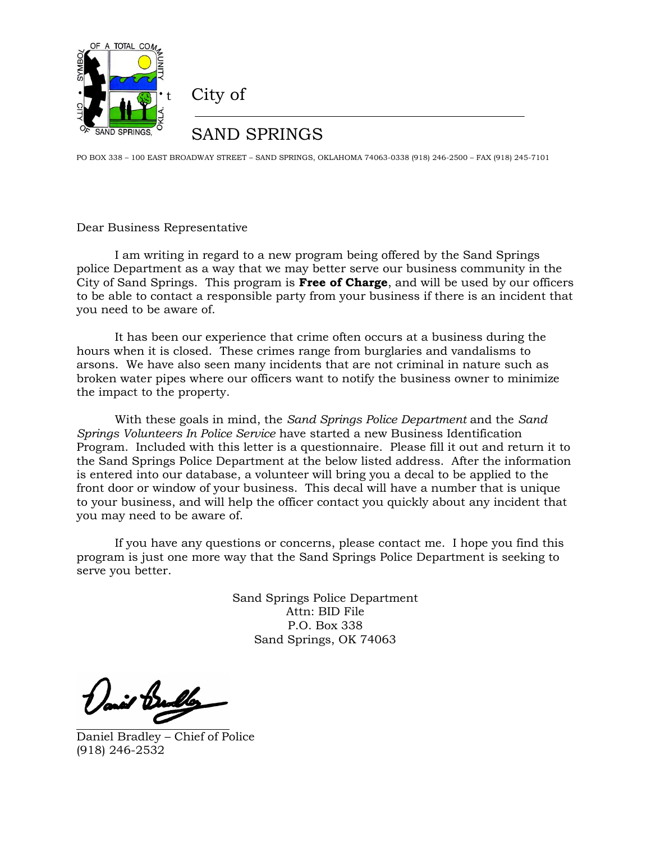

City of

## SAND SPRINGS

PO BOX 338 – 100 EAST BROADWAY STREET – SAND SPRINGS, OKLAHOMA 74063-0338 (918) 246-2500 – FAX (918) 245-7101

Dear Business Representative

I am writing in regard to a new program being offered by the Sand Springs police Department as a way that we may better serve our business community in the City of Sand Springs. This program is **Free of Charge**, and will be used by our officers to be able to contact a responsible party from your business if there is an incident that you need to be aware of.

It has been our experience that crime often occurs at a business during the hours when it is closed. These crimes range from burglaries and vandalisms to arsons. We have also seen many incidents that are not criminal in nature such as broken water pipes where our officers want to notify the business owner to minimize the impact to the property.

With these goals in mind, the *Sand Springs Police Department* and the *Sand Springs Volunteers In Police Service* have started a new Business Identification Program. Included with this letter is a questionnaire. Please fill it out and return it to the Sand Springs Police Department at the below listed address. After the information is entered into our database, a volunteer will bring you a decal to be applied to the front door or window of your business. This decal will have a number that is unique to your business, and will help the officer contact you quickly about any incident that you may need to be aware of.

If you have any questions or concerns, please contact me. I hope you find this program is just one more way that the Sand Springs Police Department is seeking to serve you better.

> Sand Springs Police Department Attn: BID File P.O. Box 338 Sand Springs, OK 74063

Daniel Bradley – Chief of Police (918) 246-2532